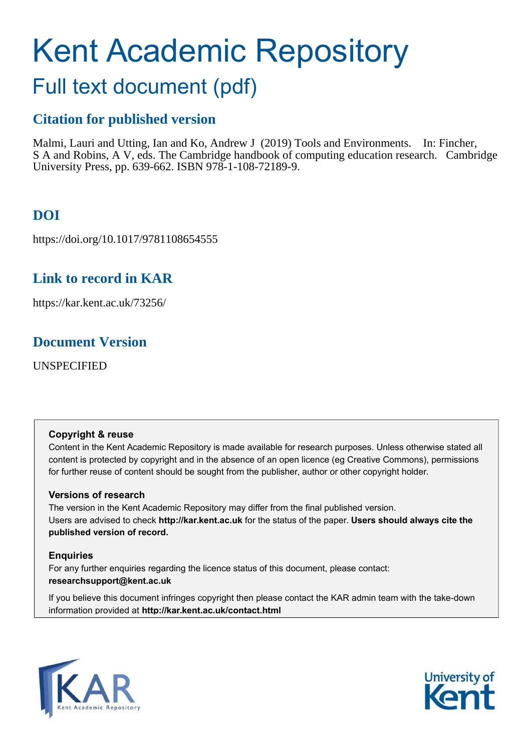# Kent Academic Repository

# Full text document (pdf)

# **Citation for published version**

Malmi, Lauri and Utting, Ian and Ko, Andrew J (2019) Tools and Environments. In: Fincher, S A and Robins, A V, eds. The Cambridge handbook of computing education research. Cambridge University Press, pp. 639-662. ISBN 978-1-108-72189-9.

# **DOI**

https://doi.org/10.1017/9781108654555

# **Link to record in KAR**

https://kar.kent.ac.uk/73256/

# **Document Version**

UNSPECIFIED

#### **Copyright & reuse**

Content in the Kent Academic Repository is made available for research purposes. Unless otherwise stated all content is protected by copyright and in the absence of an open licence (eg Creative Commons), permissions for further reuse of content should be sought from the publisher, author or other copyright holder.

#### **Versions of research**

The version in the Kent Academic Repository may differ from the final published version. Users are advised to check **http://kar.kent.ac.uk** for the status of the paper. **Users should always cite the published version of record.**

#### **Enquiries**

For any further enquiries regarding the licence status of this document, please contact: **researchsupport@kent.ac.uk**

If you believe this document infringes copyright then please contact the KAR admin team with the take-down information provided at **http://kar.kent.ac.uk/contact.html**



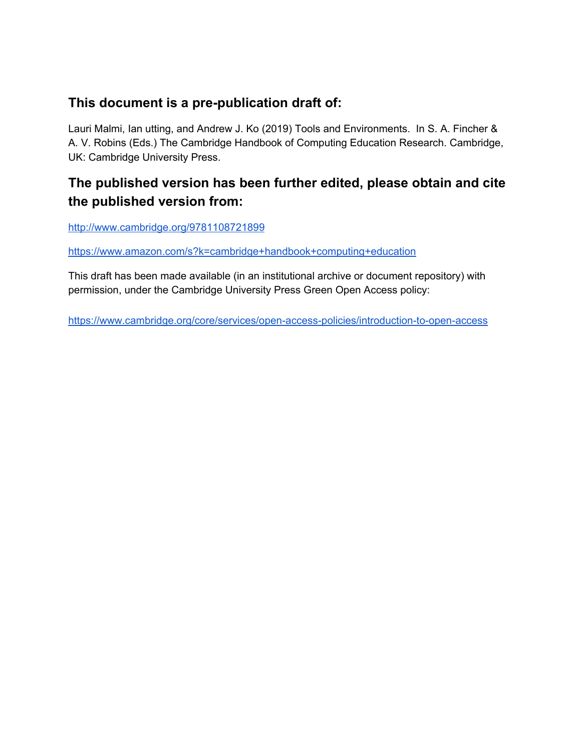# **This document is a pre-publication draft of:**

Lauri Malmi, Ian utting, and Andrew J. Ko (2019) Tools and Environments. In S. A. Fincher & A. V. Robins (Eds.) The Cambridge Handbook of Computing Education Research. Cambridge, UK: Cambridge University Press.

# **The published version has been further edited, please obtain and cite the published version from:**

<http://www.cambridge.org/9781108721899>

<https://www.amazon.com/s?k=cambridge+handbook+computing+education>

This draft has been made available (in an institutional archive or document repository) with permission, under the Cambridge University Press Green Open Access policy:

<https://www.cambridge.org/core/services/open-access-policies/introduction-to-open-access>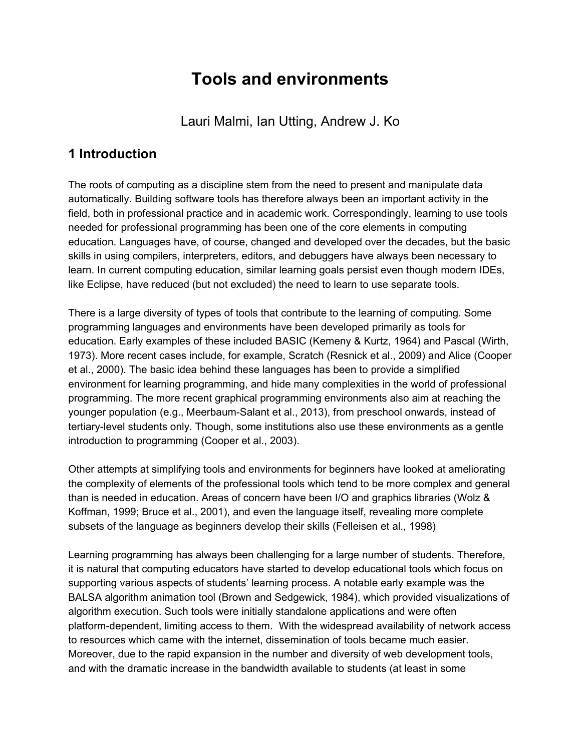# **Tools and environments**

Lauri Malmi, Ian Utting, Andrew J. Ko

## **1 Introduction**

The roots of computing as a discipline stem from the need to present and manipulate data automatically. Building software tools has therefore always been an important activity in the field, both in professional practice and in academic work. Correspondingly, learning to use tools needed for professional programming has been one of the core elements in computing education. Languages have, of course, changed and developed over the decades, but the basic skills in using compilers, interpreters, editors, and debuggers have always been necessary to learn. In current computing education, similar learning goals persist even though modern IDEs, like Eclipse, have reduced (but not excluded) the need to learn to use separate tools.

There is a large diversity of types of tools that contribute to the learning of computing. Some programming languages and environments have been developed primarily as tools for education. Early examples of these included BASIC (Kemeny & Kurtz, 1964) and Pascal (Wirth, 1973). More recent cases include, for example, Scratch (Resnick et al., 2009) and Alice (Cooper et al., 2000). The basic idea behind these languages has been to provide a simplified environment for learning programming, and hide many complexities in the world of professional programming. The more recent graphical programming environments also aim at reaching the younger population (e.g., Meerbaum-Salant et al., 2013), from preschool onwards, instead of tertiary-level students only. Though, some institutions also use these environments as a gentle introduction to programming (Cooper et al., 2003).

Other attempts at simplifying tools and environments for beginners have looked at ameliorating the complexity of elements of the professional tools which tend to be more complex and general than is needed in education. Areas of concern have been I/O and graphics libraries (Wolz & Koffman, 1999; Bruce et al., 2001), and even the language itself, revealing more complete subsets of the language as beginners develop their skills (Felleisen et al., 1998)

Learning programming has always been challenging for a large number of students. Therefore, it is natural that computing educators have started to develop educational tools which focus on supporting various aspects of students' learning process. A notable early example was the BALSA algorithm animation tool (Brown and Sedgewick, 1984), which provided visualizations of algorithm execution. Such tools were initially standalone applications and were often platform-dependent, limiting access to them. With the widespread availability of network access to resources which came with the internet, dissemination of tools became much easier. Moreover, due to the rapid expansion in the number and diversity of web development tools, and with the dramatic increase in the bandwidth available to students (at least in some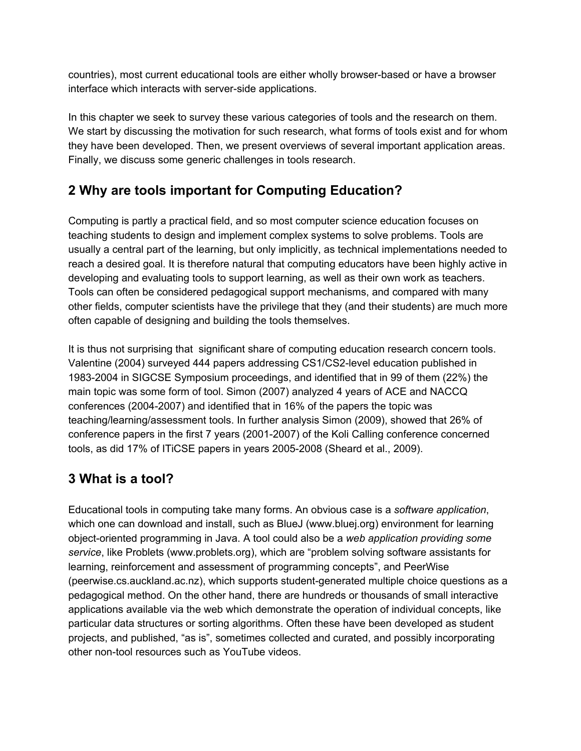countries), most current educational tools are either wholly browser-based or have a browser interface which interacts with server-side applications.

In this chapter we seek to survey these various categories of tools and the research on them. We start by discussing the motivation for such research, what forms of tools exist and for whom they have been developed. Then, we present overviews of several important application areas. Finally, we discuss some generic challenges in tools research.

# **2 Why are tools important for Computing Education?**

Computing is partly a practical field, and so most computer science education focuses on teaching students to design and implement complex systems to solve problems. Tools are usually a central part of the learning, but only implicitly, as technical implementations needed to reach a desired goal. It is therefore natural that computing educators have been highly active in developing and evaluating tools to support learning, as well as their own work as teachers. Tools can often be considered pedagogical support mechanisms, and compared with many other fields, computer scientists have the privilege that they (and their students) are much more often capable of designing and building the tools themselves.

It is thus not surprising that significant share of computing education research concern tools. Valentine (2004) surveyed 444 papers addressing CS1/CS2-level education published in 1983-2004 in SIGCSE Symposium proceedings, and identified that in 99 of them (22%) the main topic was some form of tool. Simon (2007) analyzed 4 years of ACE and NACCQ conferences (2004-2007) and identified that in 16% of the papers the topic was teaching/learning/assessment tools. In further analysis Simon (2009), showed that 26% of conference papers in the first 7 years (2001-2007) of the Koli Calling conference concerned tools, as did 17% of ITiCSE papers in years 2005-2008 (Sheard et al., 2009).

# **3 What is a tool?**

Educational tools in computing take many forms. An obvious case is a *software application*, which one can download and install, such as BlueJ (www.bluej.org) environment for learning object-oriented programming in Java. A tool could also be a *web application providing some service*, like Problets (www.problets.org), which are "problem solving software assistants for learning, reinforcement and assessment of programming concepts", and PeerWise (peerwise.cs.auckland.ac.nz), which supports student-generated multiple choice questions as a pedagogical method. On the other hand, there are hundreds or thousands of small interactive applications available via the web which demonstrate the operation of individual concepts, like particular data structures or sorting algorithms. Often these have been developed as student projects, and published, "as is", sometimes collected and curated, and possibly incorporating other non-tool resources such as YouTube videos.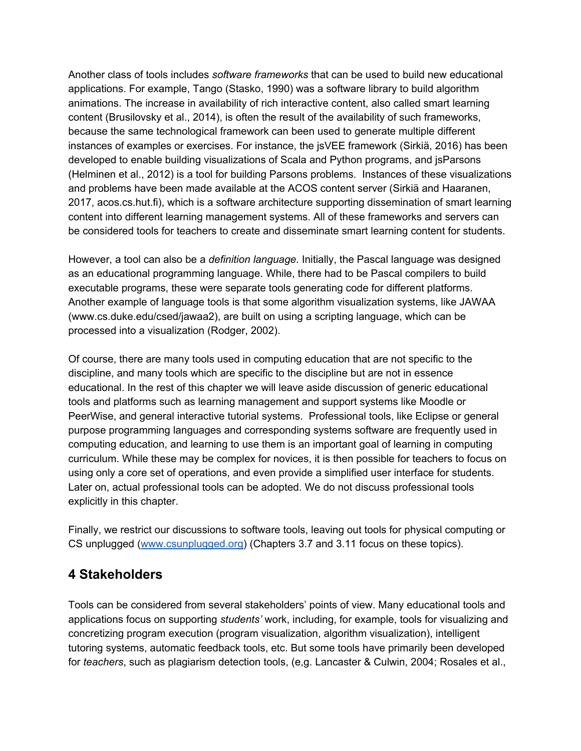Another class of tools includes *software frameworks* that can be used to build new educational applications. For example, Tango (Stasko, 1990) was a software library to build algorithm animations. The increase in availability of rich interactive content, also called smart learning content (Brusilovsky et al., 2014), is often the result of the availability of such frameworks, because the same technological framework can been used to generate multiple different instances of examples or exercises. For instance, the jsVEE framework (Sirkiä, 2016) has been developed to enable building visualizations of Scala and Python programs, and jsParsons (Helminen et al., 2012) is a tool for building Parsons problems. Instances of these visualizations and problems have been made available at the ACOS content server (Sirkiä and Haaranen, 2017, acos.cs.hut.fi), which is a software architecture supporting dissemination of smart learning content into different learning management systems. All of these frameworks and servers can be considered tools for teachers to create and disseminate smart learning content for students.

However, a tool can also be a *definition language*. Initially, the Pascal language was designed as an educational programming language. While, there had to be Pascal compilers to build executable programs, these were separate tools generating code for different platforms. Another example of language tools is that some algorithm visualization systems, like JAWAA (www.cs.duke.edu/csed/jawaa2), are built on using a scripting language, which can be processed into a visualization (Rodger, 2002).

Of course, there are many tools used in computing education that are not specific to the discipline, and many tools which are specific to the discipline but are not in essence educational. In the rest of this chapter we will leave aside discussion of generic educational tools and platforms such as learning management and support systems like Moodle or PeerWise, and general interactive tutorial systems. Professional tools, like Eclipse or general purpose programming languages and corresponding systems software are frequently used in computing education, and learning to use them is an important goal of learning in computing curriculum. While these may be complex for novices, it is then possible for teachers to focus on using only a core set of operations, and even provide a simplified user interface for students. Later on, actual professional tools can be adopted. We do not discuss professional tools explicitly in this chapter.

Finally, we restrict our discussions to software tools, leaving out tools for physical computing or CS unplugged [\(www.csunplugged.org](http://www.csunplugged.org/)) (Chapters 3.7 and 3.11 focus on these topics).

#### **4 Stakeholders**

Tools can be considered from several stakeholders' points of view. Many educational tools and applications focus on supporting *students'* work, including, for example, tools for visualizing and concretizing program execution (program visualization, algorithm visualization), intelligent tutoring systems, automatic feedback tools, etc. But some tools have primarily been developed for *teachers*, such as plagiarism detection tools, (e,g. Lancaster & Culwin, 2004; Rosales et al.,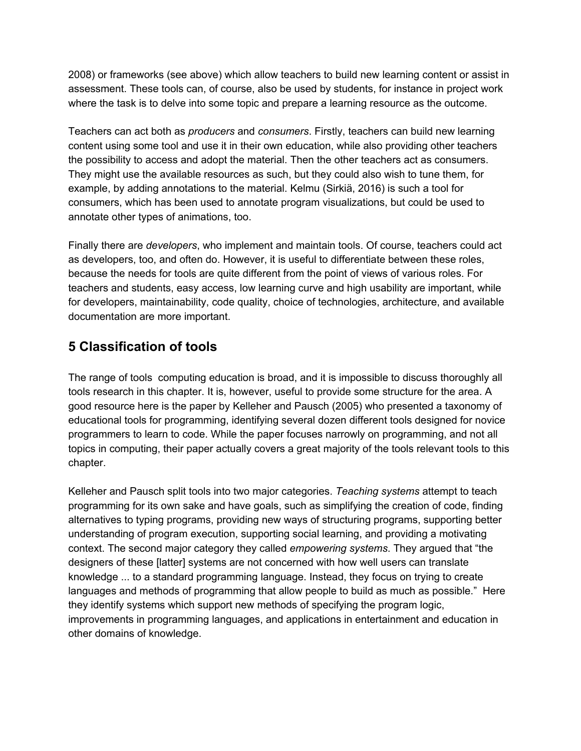2008) or frameworks (see above) which allow teachers to build new learning content or assist in assessment. These tools can, of course, also be used by students, for instance in project work where the task is to delve into some topic and prepare a learning resource as the outcome.

Teachers can act both as *producers* and *consumers*. Firstly, teachers can build new learning content using some tool and use it in their own education, while also providing other teachers the possibility to access and adopt the material. Then the other teachers act as consumers. They might use the available resources as such, but they could also wish to tune them, for example, by adding annotations to the material. Kelmu (Sirkiä, 2016) is such a tool for consumers, which has been used to annotate program visualizations, but could be used to annotate other types of animations, too.

Finally there are *developers*, who implement and maintain tools. Of course, teachers could act as developers, too, and often do. However, it is useful to differentiate between these roles, because the needs for tools are quite different from the point of views of various roles. For teachers and students, easy access, low learning curve and high usability are important, while for developers, maintainability, code quality, choice of technologies, architecture, and available documentation are more important.

## **5 Classification of tools**

The range of tools computing education is broad, and it is impossible to discuss thoroughly all tools research in this chapter. It is, however, useful to provide some structure for the area. A good resource here is the paper by Kelleher and Pausch (2005) who presented a taxonomy of educational tools for programming, identifying several dozen different tools designed for novice programmers to learn to code. While the paper focuses narrowly on programming, and not all topics in computing, their paper actually covers a great majority of the tools relevant tools to this chapter.

Kelleher and Pausch split tools into two major categories. *Teaching systems* attempt to teach programming for its own sake and have goals, such as simplifying the creation of code, finding alternatives to typing programs, providing new ways of structuring programs, supporting better understanding of program execution, supporting social learning, and providing a motivating context. The second major category they called *empowering systems*. They argued that "the designers of these [latter] systems are not concerned with how well users can translate knowledge ... to a standard programming language. Instead, they focus on trying to create languages and methods of programming that allow people to build as much as possible." Here they identify systems which support new methods of specifying the program logic, improvements in programming languages, and applications in entertainment and education in other domains of knowledge.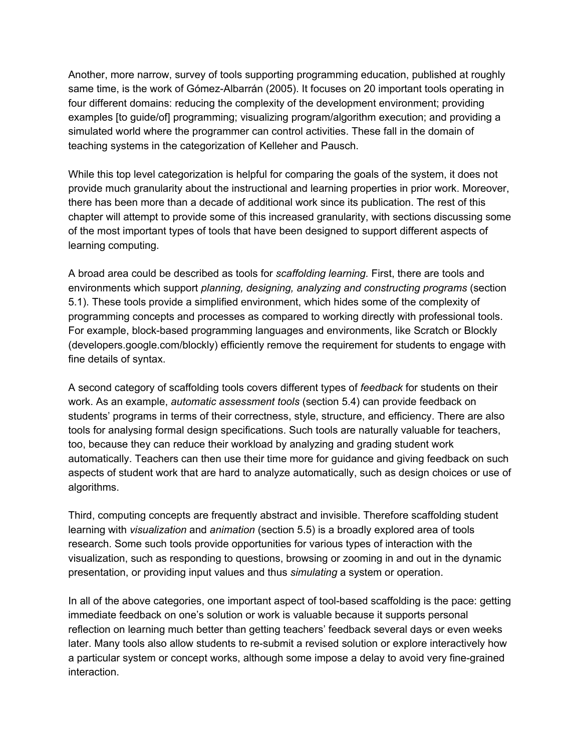Another, more narrow, survey of tools supporting programming education, published at roughly same time, is the work of Gómez-Albarrán (2005). It focuses on 20 important tools operating in four different domains: reducing the complexity of the development environment; providing examples [to guide/of] programming; visualizing program/algorithm execution; and providing a simulated world where the programmer can control activities. These fall in the domain of teaching systems in the categorization of Kelleher and Pausch.

While this top level categorization is helpful for comparing the goals of the system, it does not provide much granularity about the instructional and learning properties in prior work. Moreover, there has been more than a decade of additional work since its publication. The rest of this chapter will attempt to provide some of this increased granularity, with sections discussing some of the most important types of tools that have been designed to support different aspects of learning computing.

A broad area could be described as tools for *scaffolding learning.* First, there are tools and environments which support *planning, designing, analyzing and constructing programs* (section 5.1). These tools provide a simplified environment, which hides some of the complexity of programming concepts and processes as compared to working directly with professional tools. For example, block-based programming languages and environments, like Scratch or Blockly (developers.google.com/blockly) efficiently remove the requirement for students to engage with fine details of syntax.

A second category of scaffolding tools covers different types of *feedback* for students on their work. As an example, *automatic assessment tools* (section 5.4) can provide feedback on students' programs in terms of their correctness, style, structure, and efficiency. There are also tools for analysing formal design specifications. Such tools are naturally valuable for teachers, too, because they can reduce their workload by analyzing and grading student work automatically. Teachers can then use their time more for guidance and giving feedback on such aspects of student work that are hard to analyze automatically, such as design choices or use of algorithms.

Third, computing concepts are frequently abstract and invisible. Therefore scaffolding student learning with *visualization* and *animation* (section 5.5) is a broadly explored area of tools research. Some such tools provide opportunities for various types of interaction with the visualization, such as responding to questions, browsing or zooming in and out in the dynamic presentation, or providing input values and thus *simulating* a system or operation.

In all of the above categories, one important aspect of tool-based scaffolding is the pace: getting immediate feedback on one's solution or work is valuable because it supports personal reflection on learning much better than getting teachers' feedback several days or even weeks later. Many tools also allow students to re-submit a revised solution or explore interactively how a particular system or concept works, although some impose a delay to avoid very fine-grained interaction.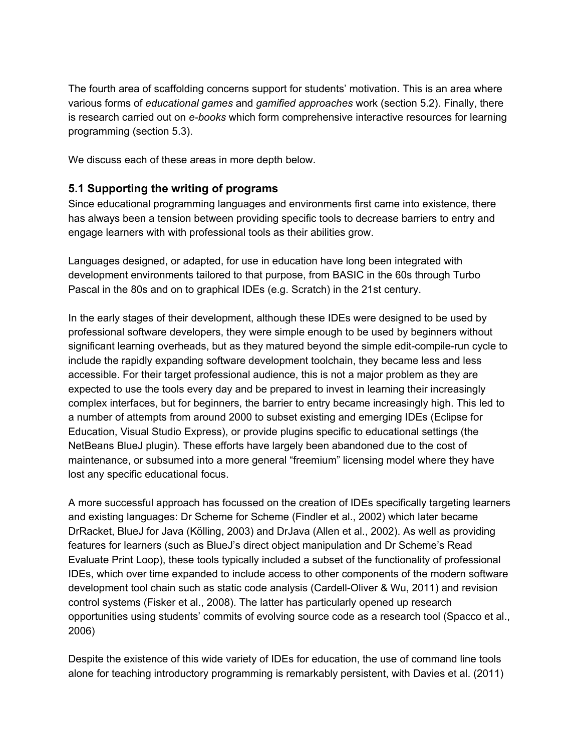The fourth area of scaffolding concerns support for students' motivation. This is an area where various forms of *educational games* and *gamified approaches* work (section 5.2). Finally, there is research carried out on *e-books* which form comprehensive interactive resources for learning programming (section 5.3).

We discuss each of these areas in more depth below.

#### **5.1 Supporting the writing of programs**

Since educational programming languages and environments first came into existence, there has always been a tension between providing specific tools to decrease barriers to entry and engage learners with with professional tools as their abilities grow.

Languages designed, or adapted, for use in education have long been integrated with development environments tailored to that purpose, from BASIC in the 60s through Turbo Pascal in the 80s and on to graphical IDEs (e.g. Scratch) in the 21st century.

In the early stages of their development, although these IDEs were designed to be used by professional software developers, they were simple enough to be used by beginners without significant learning overheads, but as they matured beyond the simple edit-compile-run cycle to include the rapidly expanding software development toolchain, they became less and less accessible. For their target professional audience, this is not a major problem as they are expected to use the tools every day and be prepared to invest in learning their increasingly complex interfaces, but for beginners, the barrier to entry became increasingly high. This led to a number of attempts from around 2000 to subset existing and emerging IDEs (Eclipse for Education, Visual Studio Express), or provide plugins specific to educational settings (the NetBeans BlueJ plugin). These efforts have largely been abandoned due to the cost of maintenance, or subsumed into a more general "freemium" licensing model where they have lost any specific educational focus.

A more successful approach has focussed on the creation of IDEs specifically targeting learners and existing languages: Dr Scheme for Scheme (Findler et al., 2002) which later became DrRacket, BlueJ for Java (Kölling, 2003) and DrJava (Allen et al., 2002). As well as providing features for learners (such as BlueJ's direct object manipulation and Dr Scheme's Read Evaluate Print Loop), these tools typically included a subset of the functionality of professional IDEs, which over time expanded to include access to other components of the modern software development tool chain such as static code analysis (Cardell-Oliver & Wu, 2011) and revision control systems (Fisker et al., 2008). The latter has particularly opened up research opportunities using students' commits of evolving source code as a research tool (Spacco et al., 2006)

Despite the existence of this wide variety of IDEs for education, the use of command line tools alone for teaching introductory programming is remarkably persistent, with Davies et al. (2011)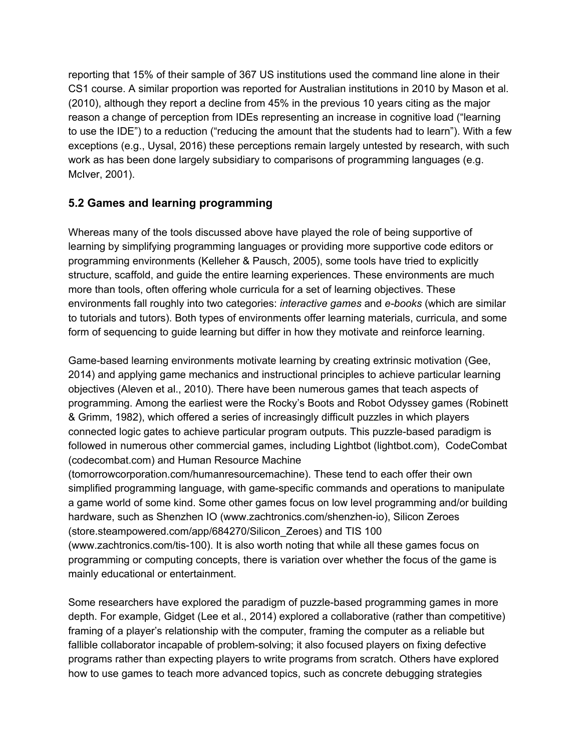reporting that 15% of their sample of 367 US institutions used the command line alone in their CS1 course. A similar proportion was reported for Australian institutions in 2010 by Mason et al. (2010), although they report a decline from 45% in the previous 10 years citing as the major reason a change of perception from IDEs representing an increase in cognitive load ("learning to use the IDE") to a reduction ("reducing the amount that the students had to learn"). With a few exceptions (e.g., Uysal, 2016) these perceptions remain largely untested by research, with such work as has been done largely subsidiary to comparisons of programming languages (e.g. McIver, 2001).

#### **5.2 Games and learning programming**

Whereas many of the tools discussed above have played the role of being supportive of learning by simplifying programming languages or providing more supportive code editors or programming environments (Kelleher & Pausch, 2005), some tools have tried to explicitly structure, scaffold, and guide the entire learning experiences. These environments are much more than tools, often offering whole curricula for a set of learning objectives. These environments fall roughly into two categories: *interactive games* and *e-books* (which are similar to tutorials and tutors). Both types of environments offer learning materials, curricula, and some form of sequencing to guide learning but differ in how they motivate and reinforce learning.

Game-based learning environments motivate learning by creating extrinsic motivation (Gee, 2014) and applying game mechanics and instructional principles to achieve particular learning objectives (Aleven et al., 2010). There have been numerous games that teach aspects of programming. Among the earliest were the Rocky's Boots and Robot Odyssey games (Robinett & Grimm, 1982), which offered a series of increasingly difficult puzzles in which players connected logic gates to achieve particular program outputs. This puzzle-based paradigm is followed in numerous other commercial games, including Lightbot (lightbot.com), CodeCombat (codecombat.com) and Human Resource Machine

(tomorrowcorporation.com/humanresourcemachine). These tend to each offer their own simplified programming language, with game-specific commands and operations to manipulate a game world of some kind. Some other games focus on low level programming and/or building hardware, such as Shenzhen IO (www.zachtronics.com/shenzhen-io), Silicon Zeroes (store.steampowered.com/app/684270/Silicon\_Zeroes) and TIS 100 (www.zachtronics.com/tis-100). It is also worth noting that while all these games focus on programming or computing concepts, there is variation over whether the focus of the game is mainly educational or entertainment.

Some researchers have explored the paradigm of puzzle-based programming games in more depth. For example, Gidget (Lee et al., 2014) explored a collaborative (rather than competitive) framing of a player's relationship with the computer, framing the computer as a reliable but fallible collaborator incapable of problem-solving; it also focused players on fixing defective programs rather than expecting players to write programs from scratch. Others have explored how to use games to teach more advanced topics, such as concrete debugging strategies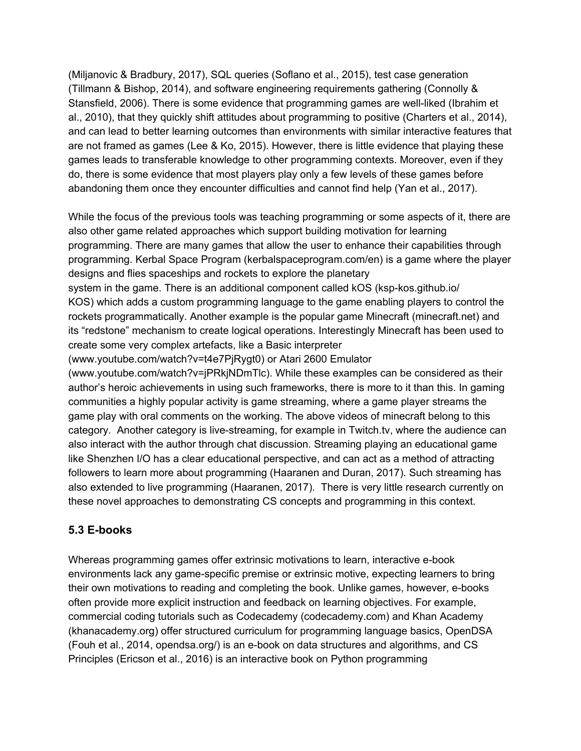(Miljanovic & Bradbury, 2017), SQL queries (Soflano et al., 2015), test case generation (Tillmann & Bishop, 2014), and software engineering requirements gathering (Connolly & Stansfield, 2006). There is some evidence that programming games are well-liked (Ibrahim et al., 2010), that they quickly shift attitudes about programming to positive (Charters et al., 2014), and can lead to better learning outcomes than environments with similar interactive features that are not framed as games (Lee & Ko, 2015). However, there is little evidence that playing these games leads to transferable knowledge to other programming contexts. Moreover, even if they do, there is some evidence that most players play only a few levels of these games before abandoning them once they encounter difficulties and cannot find help (Yan et al., 2017).

While the focus of the previous tools was teaching programming or some aspects of it, there are also other game related approaches which support building motivation for learning programming. There are many games that allow the user to enhance their capabilities through programming. Kerbal Space Program (kerbalspaceprogram.com/en) is a game where the player designs and flies spaceships and rockets to explore the planetary

system in the game. There is an additional component called kOS (ksp-kos.github.io/ KOS) which adds a custom programming language to the game enabling players to control the rockets programmatically. Another example is the popular game Minecraft (minecraft.net) and its "redstone" mechanism to create logical operations. Interestingly Minecraft has been used to create some very complex artefacts, like a Basic interpreter

(www.youtube.com/watch?v=t4e7PjRygt0) or Atari 2600 Emulator

(www.youtube.com/watch?v=jPRkjNDmTlc). While these examples can be considered as their author's heroic achievements in using such frameworks, there is more to it than this. In gaming communities a highly popular activity is game streaming, where a game player streams the game play with oral comments on the working. The above videos of minecraft belong to this category. Another category is live-streaming, for example in Twitch.tv, where the audience can also interact with the author through chat discussion. Streaming playing an educational game like Shenzhen I/O has a clear educational perspective, and can act as a method of attracting followers to learn more about programming (Haaranen and Duran, 2017). Such streaming has also extended to live programming (Haaranen, 2017). There is very little research currently on these novel approaches to demonstrating CS concepts and programming in this context.

#### **5.3 E-books**

Whereas programming games offer extrinsic motivations to learn, interactive e-book environments lack any game-specific premise or extrinsic motive, expecting learners to bring their own motivations to reading and completing the book. Unlike games, however, e-books often provide more explicit instruction and feedback on learning objectives. For example, commercial coding tutorials such as Codecademy (codecademy.com) and Khan Academy (khanacademy.org) offer structured curriculum for programming language basics, OpenDSA (Fouh et al., 2014, opendsa.org/) is an e-book on data structures and algorithms, and CS Principles (Ericson et al., 2016) is an interactive book on Python programming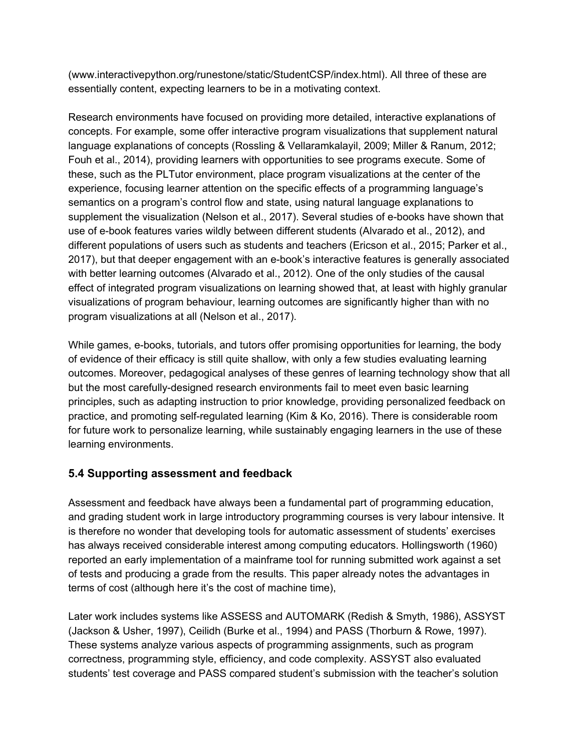(www.interactivepython.org/runestone/static/StudentCSP/index.html). All three of these are essentially content, expecting learners to be in a motivating context.

Research environments have focused on providing more detailed, interactive explanations of concepts. For example, some offer interactive program visualizations that supplement natural language explanations of concepts (Rossling & Vellaramkalayil, 2009; Miller & Ranum, 2012; Fouh et al., 2014), providing learners with opportunities to see programs execute. Some of these, such as the PLTutor environment, place program visualizations at the center of the experience, focusing learner attention on the specific effects of a programming language's semantics on a program's control flow and state, using natural language explanations to supplement the visualization (Nelson et al., 2017). Several studies of e-books have shown that use of e-book features varies wildly between different students (Alvarado et al., 2012), and different populations of users such as students and teachers (Ericson et al., 2015; Parker et al., 2017), but that deeper engagement with an e-book's interactive features is generally associated with better learning outcomes (Alvarado et al., 2012). One of the only studies of the causal effect of integrated program visualizations on learning showed that, at least with highly granular visualizations of program behaviour, learning outcomes are significantly higher than with no program visualizations at all (Nelson et al., 2017).

While games, e-books, tutorials, and tutors offer promising opportunities for learning, the body of evidence of their efficacy is still quite shallow, with only a few studies evaluating learning outcomes. Moreover, pedagogical analyses of these genres of learning technology show that all but the most carefully-designed research environments fail to meet even basic learning principles, such as adapting instruction to prior knowledge, providing personalized feedback on practice, and promoting self-regulated learning (Kim & Ko, 2016). There is considerable room for future work to personalize learning, while sustainably engaging learners in the use of these learning environments.

#### **5.4 Supporting assessment and feedback**

Assessment and feedback have always been a fundamental part of programming education, and grading student work in large introductory programming courses is very labour intensive. It is therefore no wonder that developing tools for automatic assessment of students' exercises has always received considerable interest among computing educators. Hollingsworth (1960) reported an early implementation of a mainframe tool for running submitted work against a set of tests and producing a grade from the results. This paper already notes the advantages in terms of cost (although here it's the cost of machine time),

Later work includes systems like ASSESS and AUTOMARK (Redish & Smyth, 1986), ASSYST (Jackson & Usher, 1997), Ceilidh (Burke et al., 1994) and PASS (Thorburn & Rowe, 1997). These systems analyze various aspects of programming assignments, such as program correctness, programming style, efficiency, and code complexity. ASSYST also evaluated students' test coverage and PASS compared student's submission with the teacher's solution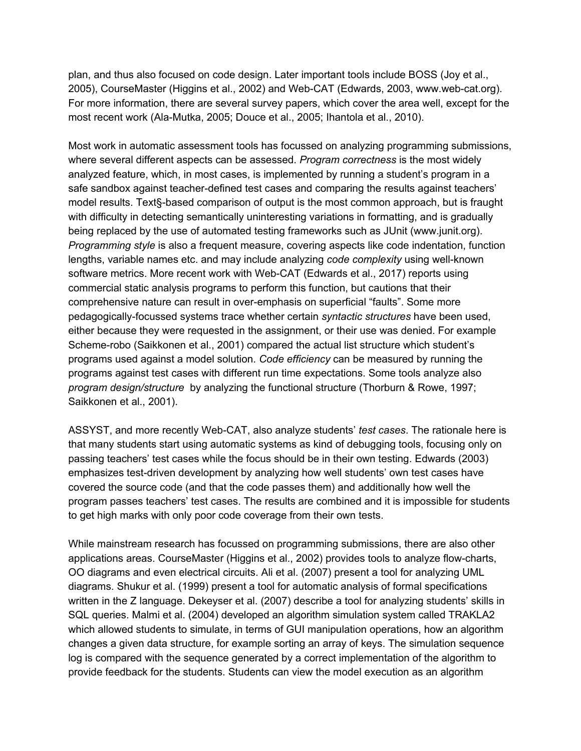plan, and thus also focused on code design. Later important tools include BOSS (Joy et al., 2005), CourseMaster (Higgins et al., 2002) and Web-CAT (Edwards, 2003, www.web-cat.org). For more information, there are several survey papers, which cover the area well, except for the most recent work (Ala-Mutka, 2005; Douce et al., 2005; Ihantola et al., 2010).

Most work in automatic assessment tools has focussed on analyzing programming submissions, where several different aspects can be assessed. *Program correctness* is the most widely analyzed feature, which, in most cases, is implemented by running a student's program in a safe sandbox against teacher-defined test cases and comparing the results against teachers' model results. Text§-based comparison of output is the most common approach, but is fraught with difficulty in detecting semantically uninteresting variations in formatting, and is gradually being replaced by the use of automated testing frameworks such as JUnit (www.junit.org). *Programming style* is also a frequent measure, covering aspects like code indentation, function lengths, variable names etc. and may include analyzing *code complexity* using well-known software metrics. More recent work with Web-CAT (Edwards et al., 2017) reports using commercial static analysis programs to perform this function, but cautions that their comprehensive nature can result in over-emphasis on superficial "faults". Some more pedagogically-focussed systems trace whether certain *syntactic structures* have been used, either because they were requested in the assignment, or their use was denied. For example Scheme-robo (Saikkonen et al., 2001) compared the actual list structure which student's programs used against a model solution. *Code efficiency* can be measured by running the programs against test cases with different run time expectations. Some tools analyze also *program design/structure* by analyzing the functional structure (Thorburn & Rowe, 1997; Saikkonen et al., 2001).

ASSYST, and more recently Web-CAT, also analyze students' *test cases*. The rationale here is that many students start using automatic systems as kind of debugging tools, focusing only on passing teachers' test cases while the focus should be in their own testing. Edwards (2003) emphasizes test-driven development by analyzing how well students' own test cases have covered the source code (and that the code passes them) and additionally how well the program passes teachers' test cases. The results are combined and it is impossible for students to get high marks with only poor code coverage from their own tests.

While mainstream research has focussed on programming submissions, there are also other applications areas. CourseMaster (Higgins et al., 2002) provides tools to analyze flow-charts, OO diagrams and even electrical circuits. Ali et al. (2007) present a tool for analyzing UML diagrams. Shukur et al. (1999) present a tool for automatic analysis of formal specifications written in the Z language. Dekeyser et al. (2007) describe a tool for analyzing students' skills in SQL queries. Malmi et al. (2004) developed an algorithm simulation system called TRAKLA2 which allowed students to simulate, in terms of GUI manipulation operations, how an algorithm changes a given data structure, for example sorting an array of keys. The simulation sequence log is compared with the sequence generated by a correct implementation of the algorithm to provide feedback for the students. Students can view the model execution as an algorithm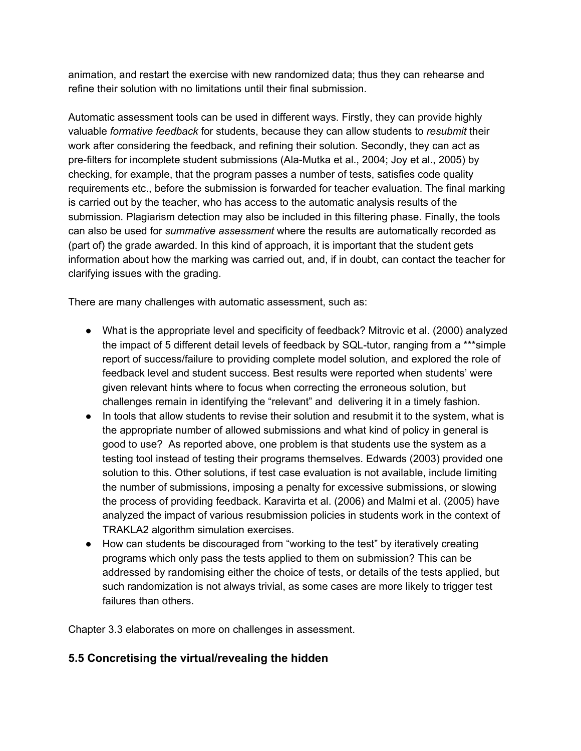animation, and restart the exercise with new randomized data; thus they can rehearse and refine their solution with no limitations until their final submission.

Automatic assessment tools can be used in different ways. Firstly, they can provide highly valuable *formative feedback* for students, because they can allow students to *resubmit* their work after considering the feedback, and refining their solution. Secondly, they can act as pre-filters for incomplete student submissions (Ala-Mutka et al., 2004; Joy et al., 2005) by checking, for example, that the program passes a number of tests, satisfies code quality requirements etc., before the submission is forwarded for teacher evaluation. The final marking is carried out by the teacher, who has access to the automatic analysis results of the submission. Plagiarism detection may also be included in this filtering phase. Finally, the tools can also be used for *summative assessment* where the results are automatically recorded as (part of) the grade awarded. In this kind of approach, it is important that the student gets information about how the marking was carried out, and, if in doubt, can contact the teacher for clarifying issues with the grading.

There are many challenges with automatic assessment, such as:

- What is the appropriate level and specificity of feedback? Mitrovic et al. (2000) analyzed the impact of 5 different detail levels of feedback by SQL-tutor, ranging from a \*\*\*simple report of success/failure to providing complete model solution, and explored the role of feedback level and student success. Best results were reported when students' were given relevant hints where to focus when correcting the erroneous solution, but challenges remain in identifying the "relevant" and delivering it in a timely fashion.
- In tools that allow students to revise their solution and resubmit it to the system, what is the appropriate number of allowed submissions and what kind of policy in general is good to use? As reported above, one problem is that students use the system as a testing tool instead of testing their programs themselves. Edwards (2003) provided one solution to this. Other solutions, if test case evaluation is not available, include limiting the number of submissions, imposing a penalty for excessive submissions, or slowing the process of providing feedback. Karavirta et al. (2006) and Malmi et al. (2005) have analyzed the impact of various resubmission policies in students work in the context of TRAKLA2 algorithm simulation exercises.
- How can students be discouraged from "working to the test" by iteratively creating programs which only pass the tests applied to them on submission? This can be addressed by randomising either the choice of tests, or details of the tests applied, but such randomization is not always trivial, as some cases are more likely to trigger test failures than others.

Chapter 3.3 elaborates on more on challenges in assessment.

#### **5.5 Concretising the virtual/revealing the hidden**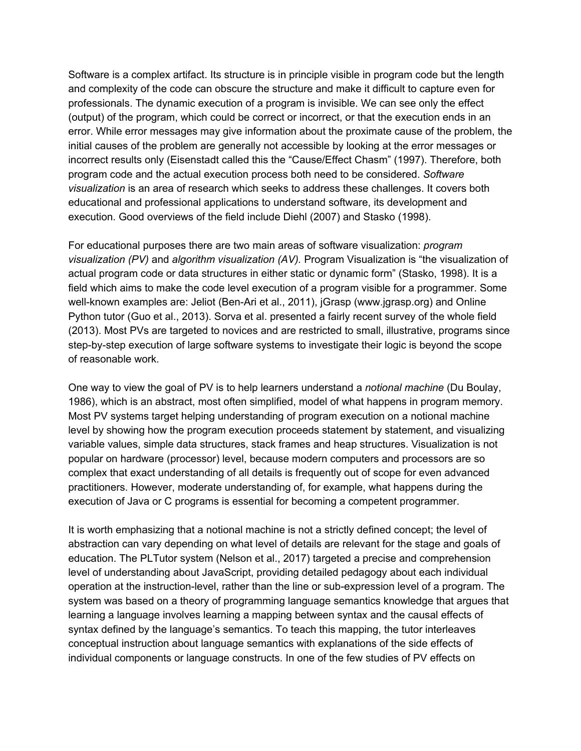Software is a complex artifact. Its structure is in principle visible in program code but the length and complexity of the code can obscure the structure and make it difficult to capture even for professionals. The dynamic execution of a program is invisible. We can see only the effect (output) of the program, which could be correct or incorrect, or that the execution ends in an error. While error messages may give information about the proximate cause of the problem, the initial causes of the problem are generally not accessible by looking at the error messages or incorrect results only (Eisenstadt called this the "Cause/Effect Chasm" (1997). Therefore, both program code and the actual execution process both need to be considered. *Software visualization* is an area of research which seeks to address these challenges. It covers both educational and professional applications to understand software, its development and execution. Good overviews of the field include Diehl (2007) and Stasko (1998).

For educational purposes there are two main areas of software visualization: *program visualization (PV)* and *algorithm visualization (AV).* Program Visualization is "the visualization of actual program code or data structures in either static or dynamic form" (Stasko, 1998). It is a field which aims to make the code level execution of a program visible for a programmer. Some well-known examples are: Jeliot (Ben-Ari et al., 2011), jGrasp (www.jgrasp.org) and Online Python tutor (Guo et al., 2013). Sorva et al. presented a fairly recent survey of the whole field (2013). Most PVs are targeted to novices and are restricted to small, illustrative, programs since step-by-step execution of large software systems to investigate their logic is beyond the scope of reasonable work.

One way to view the goal of PV is to help learners understand a *notional machine* (Du Boulay, 1986), which is an abstract, most often simplified, model of what happens in program memory. Most PV systems target helping understanding of program execution on a notional machine level by showing how the program execution proceeds statement by statement, and visualizing variable values, simple data structures, stack frames and heap structures. Visualization is not popular on hardware (processor) level, because modern computers and processors are so complex that exact understanding of all details is frequently out of scope for even advanced practitioners. However, moderate understanding of, for example, what happens during the execution of Java or C programs is essential for becoming a competent programmer.

It is worth emphasizing that a notional machine is not a strictly defined concept; the level of abstraction can vary depending on what level of details are relevant for the stage and goals of education. The PLTutor system (Nelson et al., 2017) targeted a precise and comprehension level of understanding about JavaScript, providing detailed pedagogy about each individual operation at the instruction-level, rather than the line or sub-expression level of a program. The system was based on a theory of programming language semantics knowledge that argues that learning a language involves learning a mapping between syntax and the causal effects of syntax defined by the language's semantics. To teach this mapping, the tutor interleaves conceptual instruction about language semantics with explanations of the side effects of individual components or language constructs. In one of the few studies of PV effects on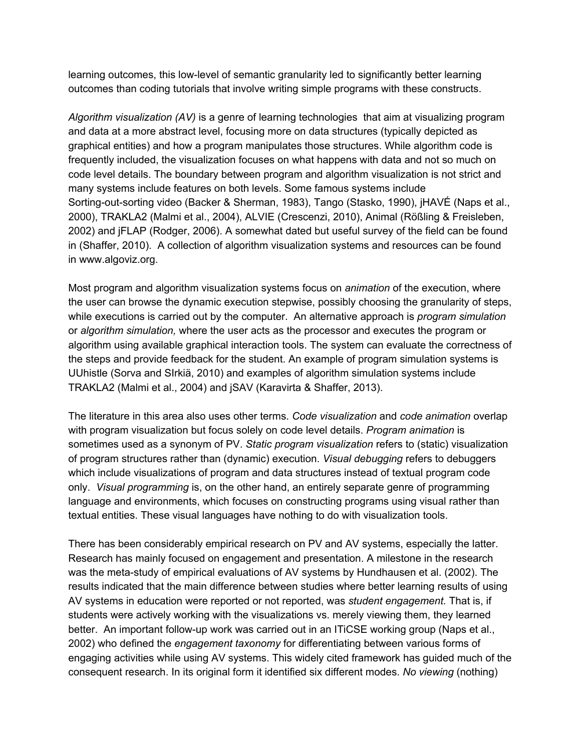learning outcomes, this low-level of semantic granularity led to significantly better learning outcomes than coding tutorials that involve writing simple programs with these constructs.

*Algorithm visualization (AV)* is a genre of learning technologies that aim at visualizing program and data at a more abstract level, focusing more on data structures (typically depicted as graphical entities) and how a program manipulates those structures. While algorithm code is frequently included, the visualization focuses on what happens with data and not so much on code level details. The boundary between program and algorithm visualization is not strict and many systems include features on both levels. Some famous systems include Sorting-out-sorting video (Backer & Sherman, 1983), Tango (Stasko, 1990), jHAVÉ (Naps et al., 2000), TRAKLA2 (Malmi et al., 2004), ALVIE (Crescenzi, 2010), Animal (Rößling & Freisleben, 2002) and jFLAP (Rodger, 2006). A somewhat dated but useful survey of the field can be found in (Shaffer, 2010). A collection of algorithm visualization systems and resources can be found in www.algoviz.org.

Most program and algorithm visualization systems focus on *animation* of the execution, where the user can browse the dynamic execution stepwise, possibly choosing the granularity of steps, while executions is carried out by the computer. An alternative approach is *program simulation*  or *algorithm simulation,* where the user acts as the processor and executes the program or algorithm using available graphical interaction tools. The system can evaluate the correctness of the steps and provide feedback for the student. An example of program simulation systems is UUhistle (Sorva and SIrkiä, 2010) and examples of algorithm simulation systems include TRAKLA2 (Malmi et al., 2004) and jSAV (Karavirta & Shaffer, 2013).

The literature in this area also uses other terms. *Code visualization* and *code animation* overlap with program visualization but focus solely on code level details. *Program animation* is sometimes used as a synonym of PV. *Static program visualization* refers to (static) visualization of program structures rather than (dynamic) execution. *Visual debugging* refers to debuggers which include visualizations of program and data structures instead of textual program code only. *Visual programming* is, on the other hand, an entirely separate genre of programming language and environments, which focuses on constructing programs using visual rather than textual entities. These visual languages have nothing to do with visualization tools.

There has been considerably empirical research on PV and AV systems, especially the latter. Research has mainly focused on engagement and presentation. A milestone in the research was the meta-study of empirical evaluations of AV systems by Hundhausen et al. (2002). The results indicated that the main difference between studies where better learning results of using AV systems in education were reported or not reported, was *student engagement.* That is, if students were actively working with the visualizations vs. merely viewing them, they learned better. An important follow-up work was carried out in an ITiCSE working group (Naps et al., 2002) who defined the *engagement taxonomy* for differentiating between various forms of engaging activities while using AV systems. This widely cited framework has guided much of the consequent research. In its original form it identified six different modes. *No viewing* (nothing)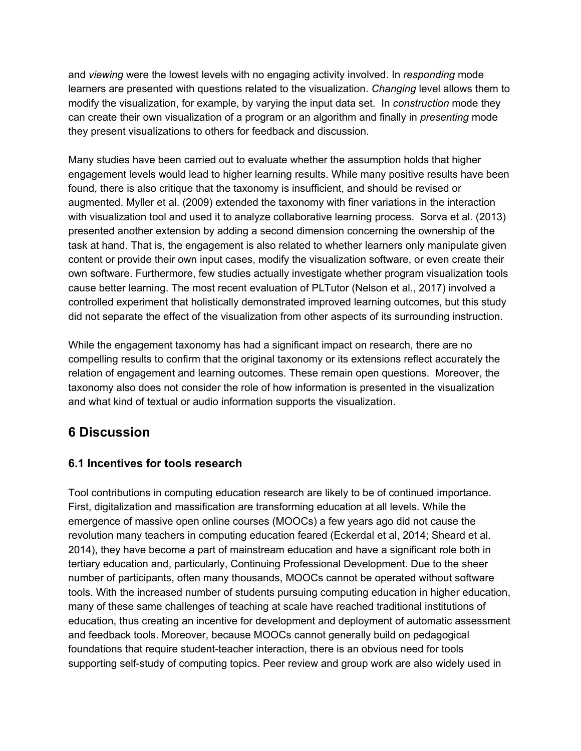and *viewing* were the lowest levels with no engaging activity involved. In *responding* mode learners are presented with questions related to the visualization. *Changing* level allows them to modify the visualization, for example, by varying the input data set. In *construction* mode they can create their own visualization of a program or an algorithm and finally in *presenting* mode they present visualizations to others for feedback and discussion.

Many studies have been carried out to evaluate whether the assumption holds that higher engagement levels would lead to higher learning results. While many positive results have been found, there is also critique that the taxonomy is insufficient, and should be revised or augmented. Myller et al. (2009) extended the taxonomy with finer variations in the interaction with visualization tool and used it to analyze collaborative learning process. Sorva et al. (2013) presented another extension by adding a second dimension concerning the ownership of the task at hand. That is, the engagement is also related to whether learners only manipulate given content or provide their own input cases, modify the visualization software, or even create their own software. Furthermore, few studies actually investigate whether program visualization tools cause better learning. The most recent evaluation of PLTutor (Nelson et al., 2017) involved a controlled experiment that holistically demonstrated improved learning outcomes, but this study did not separate the effect of the visualization from other aspects of its surrounding instruction.

While the engagement taxonomy has had a significant impact on research, there are no compelling results to confirm that the original taxonomy or its extensions reflect accurately the relation of engagement and learning outcomes. These remain open questions. Moreover, the taxonomy also does not consider the role of how information is presented in the visualization and what kind of textual or audio information supports the visualization.

# **6 Discussion**

#### **6.1 Incentives for tools research**

Tool contributions in computing education research are likely to be of continued importance. First, digitalization and massification are transforming education at all levels. While the emergence of massive open online courses (MOOCs) a few years ago did not cause the revolution many teachers in computing education feared (Eckerdal et al, 2014; Sheard et al. 2014), they have become a part of mainstream education and have a significant role both in tertiary education and, particularly, Continuing Professional Development. Due to the sheer number of participants, often many thousands, MOOCs cannot be operated without software tools. With the increased number of students pursuing computing education in higher education, many of these same challenges of teaching at scale have reached traditional institutions of education, thus creating an incentive for development and deployment of automatic assessment and feedback tools. Moreover, because MOOCs cannot generally build on pedagogical foundations that require student-teacher interaction, there is an obvious need for tools supporting self-study of computing topics. Peer review and group work are also widely used in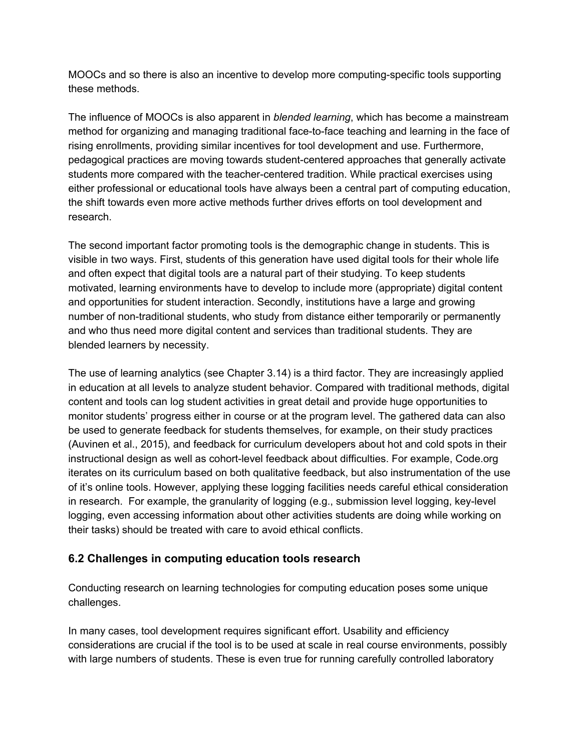MOOCs and so there is also an incentive to develop more computing-specific tools supporting these methods.

The influence of MOOCs is also apparent in *blended learning*, which has become a mainstream method for organizing and managing traditional face-to-face teaching and learning in the face of rising enrollments, providing similar incentives for tool development and use. Furthermore, pedagogical practices are moving towards student-centered approaches that generally activate students more compared with the teacher-centered tradition. While practical exercises using either professional or educational tools have always been a central part of computing education, the shift towards even more active methods further drives efforts on tool development and research.

The second important factor promoting tools is the demographic change in students. This is visible in two ways. First, students of this generation have used digital tools for their whole life and often expect that digital tools are a natural part of their studying. To keep students motivated, learning environments have to develop to include more (appropriate) digital content and opportunities for student interaction. Secondly, institutions have a large and growing number of non-traditional students, who study from distance either temporarily or permanently and who thus need more digital content and services than traditional students. They are blended learners by necessity.

The use of learning analytics (see Chapter 3.14) is a third factor. They are increasingly applied in education at all levels to analyze student behavior. Compared with traditional methods, digital content and tools can log student activities in great detail and provide huge opportunities to monitor students' progress either in course or at the program level. The gathered data can also be used to generate feedback for students themselves, for example, on their study practices (Auvinen et al., 2015), and feedback for curriculum developers about hot and cold spots in their instructional design as well as cohort-level feedback about difficulties. For example, Code.org iterates on its curriculum based on both qualitative feedback, but also instrumentation of the use of it's online tools. However, applying these logging facilities needs careful ethical consideration in research. For example, the granularity of logging (e.g., submission level logging, key-level logging, even accessing information about other activities students are doing while working on their tasks) should be treated with care to avoid ethical conflicts.

#### **6.2 Challenges in computing education tools research**

Conducting research on learning technologies for computing education poses some unique challenges.

In many cases, tool development requires significant effort. Usability and efficiency considerations are crucial if the tool is to be used at scale in real course environments, possibly with large numbers of students. These is even true for running carefully controlled laboratory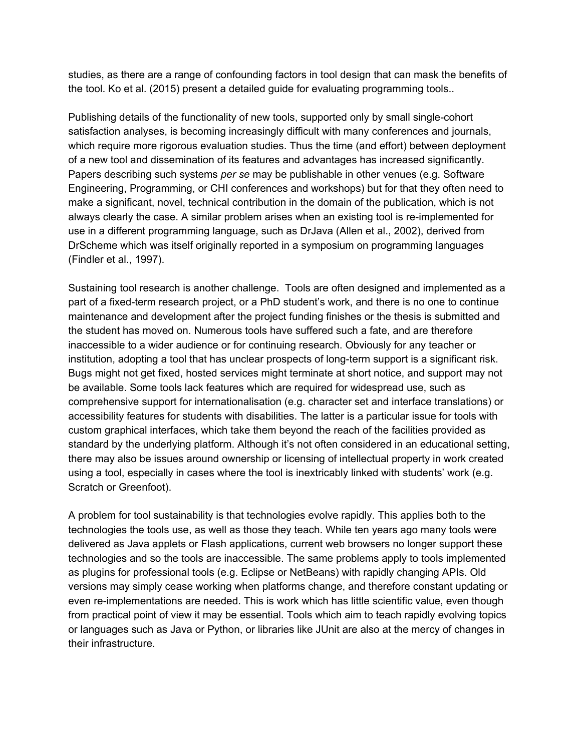studies, as there are a range of confounding factors in tool design that can mask the benefits of the tool. Ko et al. (2015) present a detailed guide for evaluating programming tools..

Publishing details of the functionality of new tools, supported only by small single-cohort satisfaction analyses, is becoming increasingly difficult with many conferences and journals, which require more rigorous evaluation studies. Thus the time (and effort) between deployment of a new tool and dissemination of its features and advantages has increased significantly. Papers describing such systems *per se* may be publishable in other venues (e.g. Software Engineering, Programming, or CHI conferences and workshops) but for that they often need to make a significant, novel, technical contribution in the domain of the publication, which is not always clearly the case. A similar problem arises when an existing tool is re-implemented for use in a different programming language, such as DrJava (Allen et al., 2002), derived from DrScheme which was itself originally reported in a symposium on programming languages (Findler et al., 1997).

Sustaining tool research is another challenge. Tools are often designed and implemented as a part of a fixed-term research project, or a PhD student's work, and there is no one to continue maintenance and development after the project funding finishes or the thesis is submitted and the student has moved on. Numerous tools have suffered such a fate, and are therefore inaccessible to a wider audience or for continuing research. Obviously for any teacher or institution, adopting a tool that has unclear prospects of long-term support is a significant risk. Bugs might not get fixed, hosted services might terminate at short notice, and support may not be available. Some tools lack features which are required for widespread use, such as comprehensive support for internationalisation (e.g. character set and interface translations) or accessibility features for students with disabilities. The latter is a particular issue for tools with custom graphical interfaces, which take them beyond the reach of the facilities provided as standard by the underlying platform. Although it's not often considered in an educational setting, there may also be issues around ownership or licensing of intellectual property in work created using a tool, especially in cases where the tool is inextricably linked with students' work (e.g. Scratch or Greenfoot).

A problem for tool sustainability is that technologies evolve rapidly. This applies both to the technologies the tools use, as well as those they teach. While ten years ago many tools were delivered as Java applets or Flash applications, current web browsers no longer support these technologies and so the tools are inaccessible. The same problems apply to tools implemented as plugins for professional tools (e.g. Eclipse or NetBeans) with rapidly changing APIs. Old versions may simply cease working when platforms change, and therefore constant updating or even re-implementations are needed. This is work which has little scientific value, even though from practical point of view it may be essential. Tools which aim to teach rapidly evolving topics or languages such as Java or Python, or libraries like JUnit are also at the mercy of changes in their infrastructure.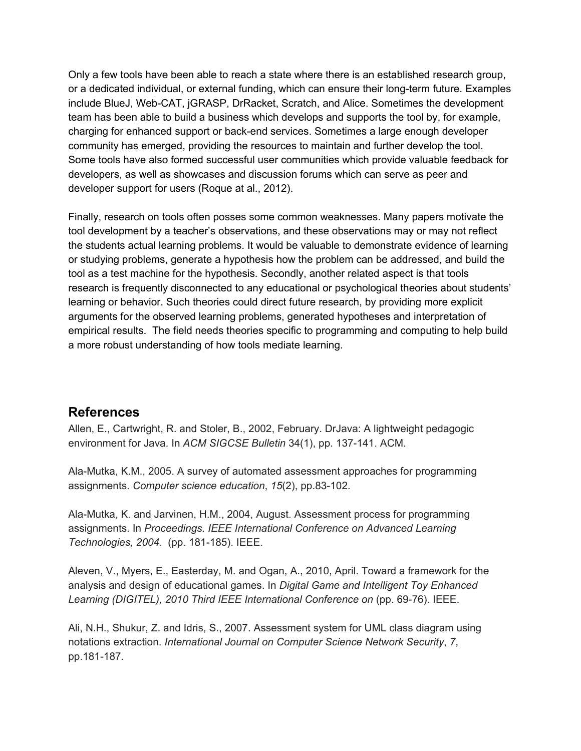Only a few tools have been able to reach a state where there is an established research group, or a dedicated individual, or external funding, which can ensure their long-term future. Examples include BlueJ, Web-CAT, jGRASP, DrRacket, Scratch, and Alice. Sometimes the development team has been able to build a business which develops and supports the tool by, for example, charging for enhanced support or back-end services. Sometimes a large enough developer community has emerged, providing the resources to maintain and further develop the tool. Some tools have also formed successful user communities which provide valuable feedback for developers, as well as showcases and discussion forums which can serve as peer and developer support for users (Roque at al., 2012).

Finally, research on tools often posses some common weaknesses. Many papers motivate the tool development by a teacher's observations, and these observations may or may not reflect the students actual learning problems. It would be valuable to demonstrate evidence of learning or studying problems, generate a hypothesis how the problem can be addressed, and build the tool as a test machine for the hypothesis. Secondly, another related aspect is that tools research is frequently disconnected to any educational or psychological theories about students' learning or behavior. Such theories could direct future research, by providing more explicit arguments for the observed learning problems, generated hypotheses and interpretation of empirical results. The field needs theories specific to programming and computing to help build a more robust understanding of how tools mediate learning.

#### **References**

Allen, E., Cartwright, R. and Stoler, B., 2002, February. DrJava: A lightweight pedagogic environment for Java. In *ACM SIGCSE Bulletin* 34(1), pp. 137-141. ACM.

Ala-Mutka, K.M., 2005. A survey of automated assessment approaches for programming assignments. *Computer science education*, *15*(2), pp.83-102.

Ala-Mutka, K. and Jarvinen, H.M., 2004, August. Assessment process for programming assignments. In *Proceedings. IEEE International Conference on Advanced Learning Technologies, 2004.* (pp. 181-185). IEEE.

Aleven, V., Myers, E., Easterday, M. and Ogan, A., 2010, April. Toward a framework for the analysis and design of educational games. In *Digital Game and Intelligent Toy Enhanced Learning (DIGITEL), 2010 Third IEEE International Conference on* (pp. 69-76). IEEE.

Ali, N.H., Shukur, Z. and Idris, S., 2007. Assessment system for UML class diagram using notations extraction. *International Journal on Computer Science Network Security*, *7*, pp.181-187.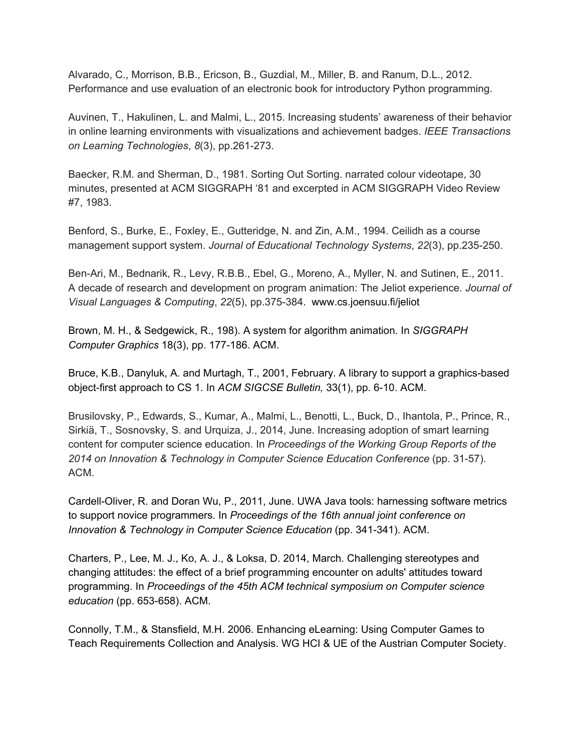Alvarado, C., Morrison, B.B., Ericson, B., Guzdial, M., Miller, B. and Ranum, D.L., 2012. Performance and use evaluation of an electronic book for introductory Python programming.

Auvinen, T., Hakulinen, L. and Malmi, L., 2015. Increasing students' awareness of their behavior in online learning environments with visualizations and achievement badges. *IEEE Transactions on Learning Technologies*, *8*(3), pp.261-273.

Baecker, R.M. and Sherman, D., 1981. Sorting Out Sorting. narrated colour videotape, 30 minutes, presented at ACM SIGGRAPH '81 and excerpted in ACM SIGGRAPH Video Review #7, 1983.

Benford, S., Burke, E., Foxley, E., Gutteridge, N. and Zin, A.M., 1994. Ceilidh as a course management support system. *Journal of Educational Technology Systems*, *22*(3), pp.235-250.

Ben-Ari, M., Bednarik, R., Levy, R.B.B., Ebel, G., Moreno, A., Myller, N. and Sutinen, E., 2011. A decade of research and development on program animation: The Jeliot experience. *Journal of Visual Languages & Computing*, *22*(5), pp.375-384. www.cs.joensuu.fi/jeliot

Brown, M. H., & Sedgewick, R., 198). A system for algorithm animation. In *SIGGRAPH Computer Graphics* 18(3), pp. 177-186. ACM.

Bruce, K.B., Danyluk, A. and Murtagh, T., 2001, February. A library to support a graphics-based object-first approach to CS 1. In *ACM SIGCSE Bulletin,* 33(1), pp. 6-10. ACM.

Brusilovsky, P., Edwards, S., Kumar, A., Malmi, L., Benotti, L., Buck, D., Ihantola, P., Prince, R., Sirkiä, T., Sosnovsky, S. and Urquiza, J., 2014, June. Increasing adoption of smart learning content for computer science education. In *Proceedings of the Working Group Reports of the 2014 on Innovation & Technology in Computer Science Education Conference* (pp. 31-57). ACM.

Cardell-Oliver, R. and Doran Wu, P., 2011, June. UWA Java tools: harnessing software metrics to support novice programmers. In *Proceedings of the 16th annual joint conference on Innovation & Technology in Computer Science Education* (pp. 341-341). ACM.

Charters, P., Lee, M. J., Ko, A. J., & Loksa, D. 2014, March. Challenging stereotypes and changing attitudes: the effect of a brief programming encounter on adults' attitudes toward programming. In *Proceedings of the 45th ACM technical symposium on Computer science education* (pp. 653-658). ACM.

Connolly, T.M., & Stansfield, M.H. 2006. Enhancing eLearning: Using Computer Games to Teach Requirements Collection and Analysis. WG HCI & UE of the Austrian Computer Society.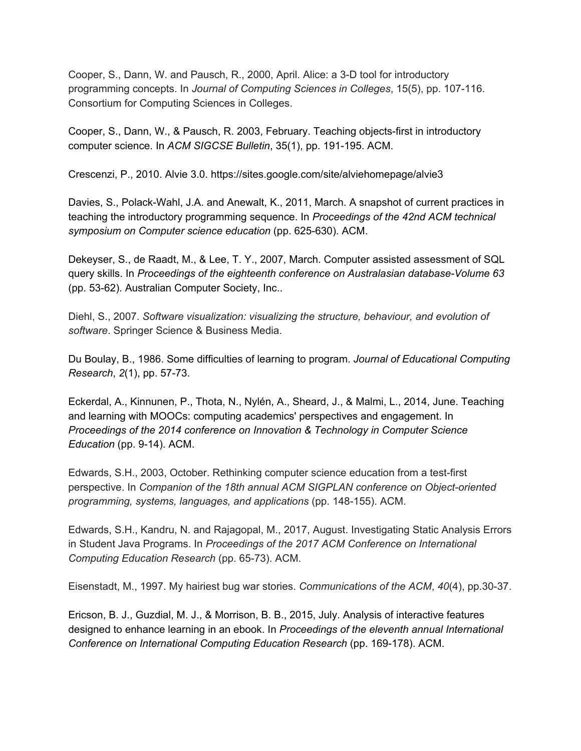Cooper, S., Dann, W. and Pausch, R., 2000, April. Alice: a 3-D tool for introductory programming concepts. In *Journal of Computing Sciences in Colleges*, 15(5), pp. 107-116. Consortium for Computing Sciences in Colleges.

Cooper, S., Dann, W., & Pausch, R. 2003, February. Teaching objects-first in introductory computer science. In *ACM SIGCSE Bulletin*, 35(1), pp. 191-195. ACM.

Crescenzi, P., 2010. Alvie 3.0. https://sites.google.com/site/alviehomepage/alvie3

Davies, S., Polack-Wahl, J.A. and Anewalt, K., 2011, March. A snapshot of current practices in teaching the introductory programming sequence. In *Proceedings of the 42nd ACM technical symposium on Computer science education* (pp. 625-630). ACM.

Dekeyser, S., de Raadt, M., & Lee, T. Y., 2007, March. Computer assisted assessment of SQL query skills. In *Proceedings of the eighteenth conference on Australasian database-Volume 63* (pp. 53-62). Australian Computer Society, Inc..

Diehl, S., 2007. *Software visualization: visualizing the structure, behaviour, and evolution of software*. Springer Science & Business Media.

Du Boulay, B., 1986. Some difficulties of learning to program. *Journal of Educational Computing Research*, *2*(1), pp. 57-73.

Eckerdal, A., Kinnunen, P., Thota, N., Nylén, A., Sheard, J., & Malmi, L., 2014, June. Teaching and learning with MOOCs: computing academics' perspectives and engagement. In *Proceedings of the 2014 conference on Innovation & Technology in Computer Science Education* (pp. 9-14). ACM.

Edwards, S.H., 2003, October. Rethinking computer science education from a test-first perspective. In *Companion of the 18th annual ACM SIGPLAN conference on Object-oriented programming, systems, languages, and applications* (pp. 148-155). ACM.

Edwards, S.H., Kandru, N. and Rajagopal, M., 2017, August. Investigating Static Analysis Errors in Student Java Programs. In *Proceedings of the 2017 ACM Conference on International Computing Education Research* (pp. 65-73). ACM.

Eisenstadt, M., 1997. My hairiest bug war stories. *Communications of the ACM*, *40*(4), pp.30-37.

Ericson, B. J., Guzdial, M. J., & Morrison, B. B., 2015, July. Analysis of interactive features designed to enhance learning in an ebook. In *Proceedings of the eleventh annual International Conference on International Computing Education Research* (pp. 169-178). ACM.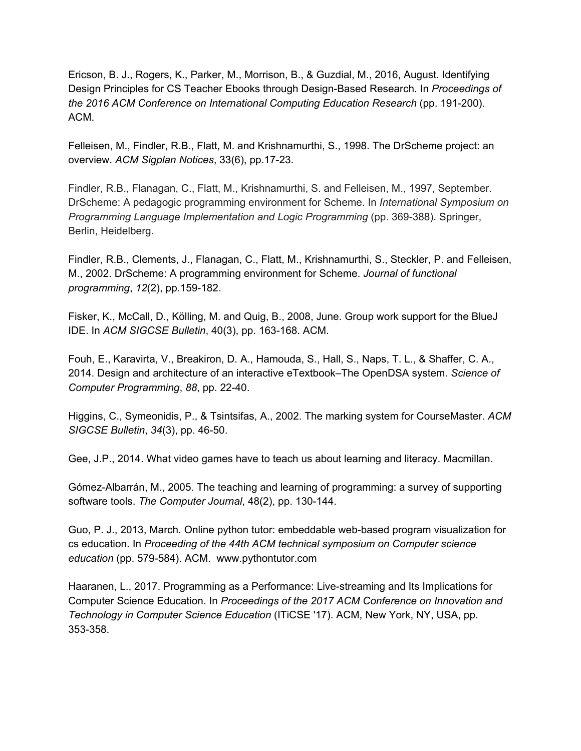Ericson, B. J., Rogers, K., Parker, M., Morrison, B., & Guzdial, M., 2016, August. Identifying Design Principles for CS Teacher Ebooks through Design-Based Research. In *Proceedings of the 2016 ACM Conference on International Computing Education Research* (pp. 191-200). ACM.

Felleisen, M., Findler, R.B., Flatt, M. and Krishnamurthi, S., 1998. The DrScheme project: an overview. *ACM Sigplan Notices*, 33(6), pp.17-23.

Findler, R.B., Flanagan, C., Flatt, M., Krishnamurthi, S. and Felleisen, M., 1997, September. DrScheme: A pedagogic programming environment for Scheme. In *International Symposium on Programming Language Implementation and Logic Programming* (pp. 369-388). Springer, Berlin, Heidelberg.

Findler, R.B., Clements, J., Flanagan, C., Flatt, M., Krishnamurthi, S., Steckler, P. and Felleisen, M., 2002. DrScheme: A programming environment for Scheme. *Journal of functional programming*, *12*(2), pp.159-182.

Fisker, K., McCall, D., Kölling, M. and Quig, B., 2008, June. Group work support for the BlueJ IDE. In *ACM SIGCSE Bulletin*, 40(3), pp. 163-168. ACM.

Fouh, E., Karavirta, V., Breakiron, D. A., Hamouda, S., Hall, S., Naps, T. L., & Shaffer, C. A., 2014. Design and architecture of an interactive eTextbook–The OpenDSA system. *Science of Computer Programming*, *88*, pp. 22-40.

Higgins, C., Symeonidis, P., & Tsintsifas, A., 2002. The marking system for CourseMaster. *ACM SIGCSE Bulletin*, *34*(3), pp. 46-50.

Gee, J.P., 2014. What video games have to teach us about learning and literacy. Macmillan.

Gómez-Albarrán, M., 2005. The teaching and learning of programming: a survey of supporting software tools. *The Computer Journal*, 48(2), pp. 130-144.

Guo, P. J., 2013, March. Online python tutor: embeddable web-based program visualization for cs education. In *Proceeding of the 44th ACM technical symposium on Computer science education* (pp. 579-584). ACM. www.pythontutor.com

Haaranen, L., 2017. Programming as a Performance: Live-streaming and Its Implications for Computer Science Education. In *Proceedings of the 2017 ACM Conference on Innovation and Technology in Computer Science Education* (ITiCSE '17). ACM, New York, NY, USA, pp. 353-358.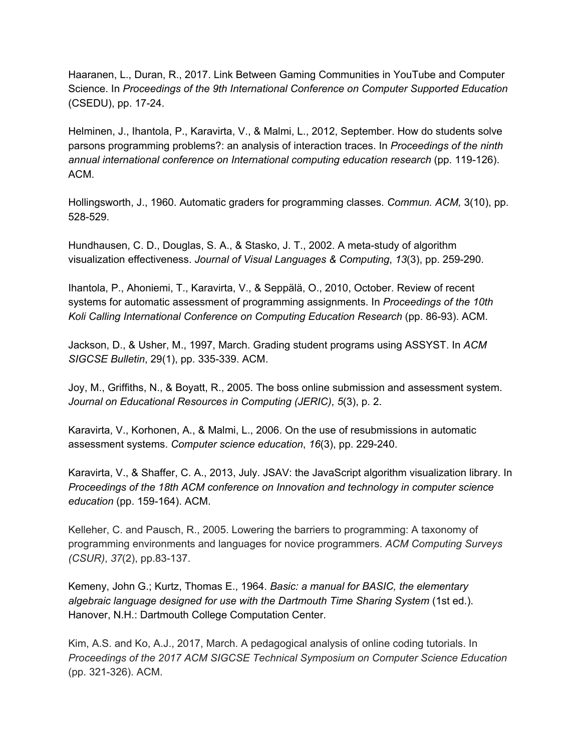Haaranen, L., Duran, R., 2017. Link Between Gaming Communities in YouTube and Computer Science. In *Proceedings of the 9th International Conference on Computer Supported Education* (CSEDU), pp. 17-24.

Helminen, J., Ihantola, P., Karavirta, V., & Malmi, L., 2012, September. How do students solve parsons programming problems?: an analysis of interaction traces. In *Proceedings of the ninth annual international conference on International computing education research* (pp. 119-126). ACM.

Hollingsworth, J., 1960. Automatic graders for programming classes. *Commun. ACM,* 3(10), pp. 528-529.

Hundhausen, C. D., Douglas, S. A., & Stasko, J. T., 2002. A meta-study of algorithm visualization effectiveness. *Journal of Visual Languages & Computing*, *13*(3), pp. 259-290.

Ihantola, P., Ahoniemi, T., Karavirta, V., & Seppälä, O., 2010, October. Review of recent systems for automatic assessment of programming assignments. In *Proceedings of the 10th Koli Calling International Conference on Computing Education Research* (pp. 86-93). ACM.

Jackson, D., & Usher, M., 1997, March. Grading student programs using ASSYST. In *ACM SIGCSE Bulletin*, 29(1), pp. 335-339. ACM.

Joy, M., Griffiths, N., & Boyatt, R., 2005. The boss online submission and assessment system. *Journal on Educational Resources in Computing (JERIC)*, *5*(3), p. 2.

Karavirta, V., Korhonen, A., & Malmi, L., 2006. On the use of resubmissions in automatic assessment systems. *Computer science education*, *16*(3), pp. 229-240.

Karavirta, V., & Shaffer, C. A., 2013, July. JSAV: the JavaScript algorithm visualization library. In *Proceedings of the 18th ACM conference on Innovation and technology in computer science education* (pp. 159-164). ACM.

Kelleher, C. and Pausch, R., 2005. Lowering the barriers to programming: A taxonomy of programming environments and languages for novice programmers. *ACM Computing Surveys (CSUR)*, *37*(2), pp.83-137.

Kemeny, John G.; Kurtz, Thomas E., 1964. *Basic: a manual for BASIC, the elementary algebraic language designed for use with the Dartmouth Time Sharing System* (1st ed.). Hanover, N.H.: Dartmouth College Computation Center.

Kim, A.S. and Ko, A.J., 2017, March. A pedagogical analysis of online coding tutorials. In *Proceedings of the 2017 ACM SIGCSE Technical Symposium on Computer Science Education* (pp. 321-326). ACM.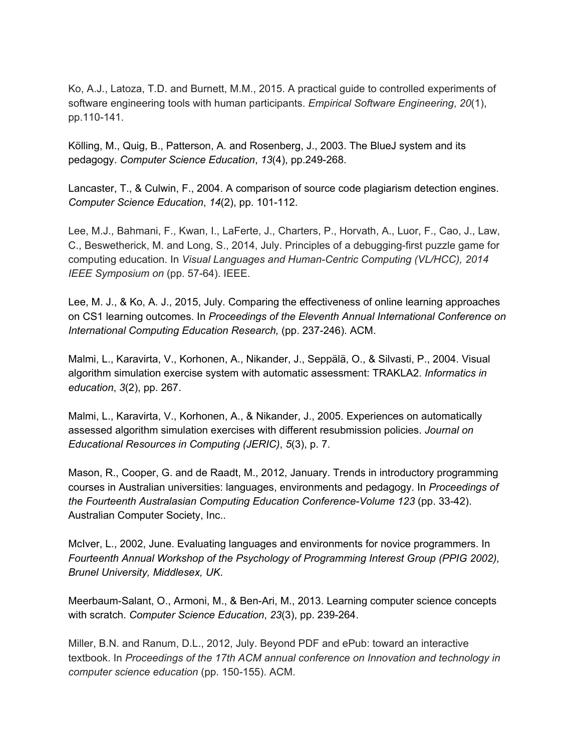Ko, A.J., Latoza, T.D. and Burnett, M.M., 2015. A practical guide to controlled experiments of software engineering tools with human participants. *Empirical Software Engineering*, *20*(1), pp.110-141.

Kölling, M., Quig, B., Patterson, A. and Rosenberg, J., 2003. The BlueJ system and its pedagogy. *Computer Science Education*, *13*(4), pp.249-268.

Lancaster, T., & Culwin, F., 2004. A comparison of source code plagiarism detection engines. *Computer Science Education*, *14*(2), pp. 101-112.

Lee, M.J., Bahmani, F., Kwan, I., LaFerte, J., Charters, P., Horvath, A., Luor, F., Cao, J., Law, C., Beswetherick, M. and Long, S., 2014, July. Principles of a debugging-first puzzle game for computing education. In *Visual Languages and Human-Centric Computing (VL/HCC), 2014 IEEE Symposium on* (pp. 57-64). IEEE.

Lee, M. J., & Ko, A. J., 2015, July. Comparing the effectiveness of online learning approaches on CS1 learning outcomes. In *Proceedings of the Eleventh Annual International Conference on International Computing Education Research,* (pp. 237-246). ACM.

Malmi, L., Karavirta, V., Korhonen, A., Nikander, J., Seppälä, O., & Silvasti, P., 2004. Visual algorithm simulation exercise system with automatic assessment: TRAKLA2. *Informatics in education*, *3*(2), pp. 267.

Malmi, L., Karavirta, V., Korhonen, A., & Nikander, J., 2005. Experiences on automatically assessed algorithm simulation exercises with different resubmission policies. *Journal on Educational Resources in Computing (JERIC)*, *5*(3), p. 7.

Mason, R., Cooper, G. and de Raadt, M., 2012, January. Trends in introductory programming courses in Australian universities: languages, environments and pedagogy. In *Proceedings of the Fourteenth Australasian Computing Education Conference-Volume 123* (pp. 33-42). Australian Computer Society, Inc..

McIver, L., 2002, June. Evaluating languages and environments for novice programmers. In *Fourteenth Annual Workshop of the Psychology of Programming Interest Group (PPIG 2002), Brunel University, Middlesex, UK*.

Meerbaum-Salant, O., Armoni, M., & Ben-Ari, M., 2013. Learning computer science concepts with scratch. *Computer Science Education*, *23*(3), pp. 239-264.

Miller, B.N. and Ranum, D.L., 2012, July. Beyond PDF and ePub: toward an interactive textbook. In *Proceedings of the 17th ACM annual conference on Innovation and technology in computer science education* (pp. 150-155). ACM.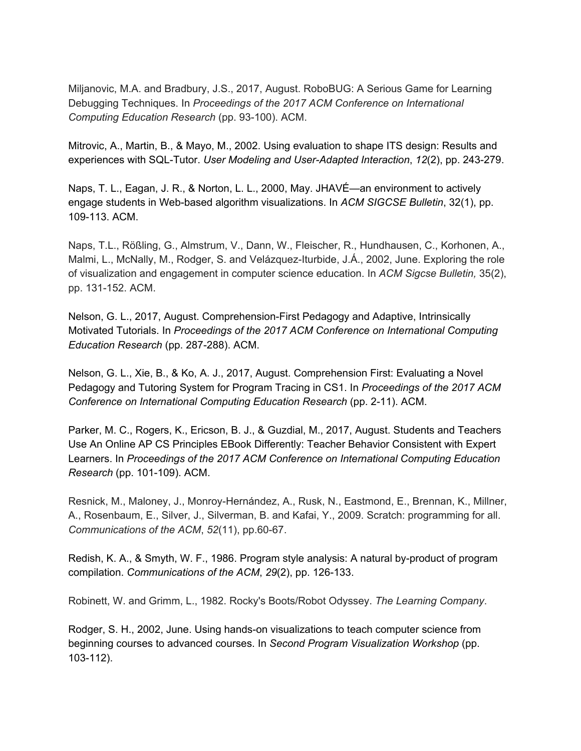Miljanovic, M.A. and Bradbury, J.S., 2017, August. RoboBUG: A Serious Game for Learning Debugging Techniques. In *Proceedings of the 2017 ACM Conference on International Computing Education Research* (pp. 93-100). ACM.

Mitrovic, A., Martin, B., & Mayo, M., 2002. Using evaluation to shape ITS design: Results and experiences with SQL-Tutor. *User Modeling and User-Adapted Interaction*, *12*(2), pp. 243-279.

Naps, T. L., Eagan, J. R., & Norton, L. L., 2000, May. JHAVÉ—an environment to actively engage students in Web-based algorithm visualizations. In *ACM SIGCSE Bulletin*, 32(1), pp. 109-113. ACM.

Naps, T.L., Rößling, G., Almstrum, V., Dann, W., Fleischer, R., Hundhausen, C., Korhonen, A., Malmi, L., McNally, M., Rodger, S. and Velázquez-Iturbide, J.Á., 2002, June. Exploring the role of visualization and engagement in computer science education. In *ACM Sigcse Bulletin,* 35(2), pp. 131-152. ACM.

Nelson, G. L., 2017, August. Comprehension-First Pedagogy and Adaptive, Intrinsically Motivated Tutorials. In *Proceedings of the 2017 ACM Conference on International Computing Education Research* (pp. 287-288). ACM.

Nelson, G. L., Xie, B., & Ko, A. J., 2017, August. Comprehension First: Evaluating a Novel Pedagogy and Tutoring System for Program Tracing in CS1. In *Proceedings of the 2017 ACM Conference on International Computing Education Research* (pp. 2-11). ACM.

Parker, M. C., Rogers, K., Ericson, B. J., & Guzdial, M., 2017, August. Students and Teachers Use An Online AP CS Principles EBook Differently: Teacher Behavior Consistent with Expert Learners. In *Proceedings of the 2017 ACM Conference on International Computing Education Research* (pp. 101-109). ACM.

Resnick, M., Maloney, J., Monroy-Hernández, A., Rusk, N., Eastmond, E., Brennan, K., Millner, A., Rosenbaum, E., Silver, J., Silverman, B. and Kafai, Y., 2009. Scratch: programming for all. *Communications of the ACM*, *52*(11), pp.60-67.

Redish, K. A., & Smyth, W. F., 1986. Program style analysis: A natural by-product of program compilation. *Communications of the ACM*, *29*(2), pp. 126-133.

Robinett, W. and Grimm, L., 1982. Rocky's Boots/Robot Odyssey. *The Learning Company*.

Rodger, S. H., 2002, June. Using hands-on visualizations to teach computer science from beginning courses to advanced courses. In *Second Program Visualization Workshop* (pp. 103-112).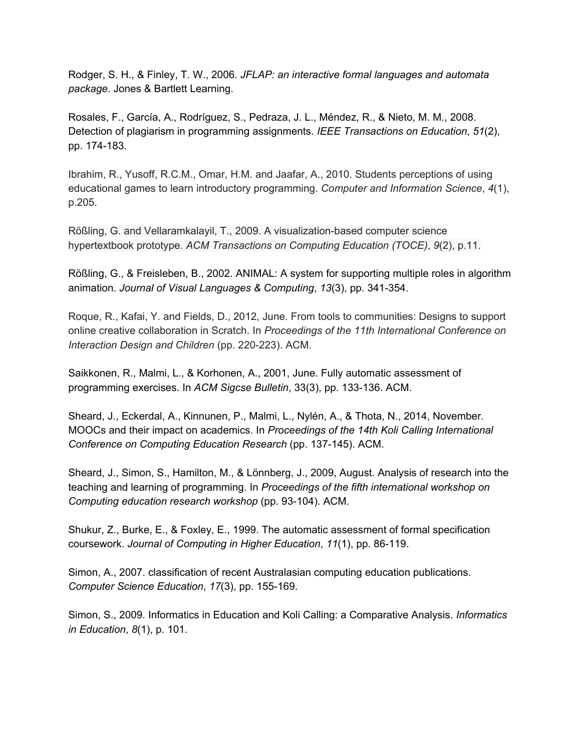Rodger, S. H., & Finley, T. W., 2006. *JFLAP: an interactive formal languages and automata package*. Jones & Bartlett Learning.

Rosales, F., García, A., Rodríguez, S., Pedraza, J. L., Méndez, R., & Nieto, M. M., 2008. Detection of plagiarism in programming assignments. *IEEE Transactions on Education*, *51*(2), pp. 174-183.

Ibrahim, R., Yusoff, R.C.M., Omar, H.M. and Jaafar, A., 2010. Students perceptions of using educational games to learn introductory programming. *Computer and Information Science*, *4*(1), p.205.

Rößling, G. and Vellaramkalayil, T., 2009. A visualization-based computer science hypertextbook prototype. *ACM Transactions on Computing Education (TOCE)*, *9*(2), p.11.

Rößling, G., & Freisleben, B., 2002. ANIMAL: A system for supporting multiple roles in algorithm animation. *Journal of Visual Languages & Computing*, *13*(3), pp. 341-354.

Roque, R., Kafai, Y. and Fields, D., 2012, June. From tools to communities: Designs to support online creative collaboration in Scratch. In *Proceedings of the 11th International Conference on Interaction Design and Children* (pp. 220-223). ACM.

Saikkonen, R., Malmi, L., & Korhonen, A., 2001, June. Fully automatic assessment of programming exercises. In *ACM Sigcse Bulletin*, 33(3), pp. 133-136. ACM.

Sheard, J., Eckerdal, A., Kinnunen, P., Malmi, L., Nylén, A., & Thota, N., 2014, November. MOOCs and their impact on academics. In *Proceedings of the 14th Koli Calling International Conference on Computing Education Research* (pp. 137-145). ACM.

Sheard, J., Simon, S., Hamilton, M., & Lönnberg, J., 2009, August. Analysis of research into the teaching and learning of programming. In *Proceedings of the fifth international workshop on Computing education research workshop* (pp. 93-104). ACM.

Shukur, Z., Burke, E., & Foxley, E., 1999. The automatic assessment of formal specification coursework. *Journal of Computing in Higher Education*, *11*(1), pp. 86-119.

Simon, A., 2007. classification of recent Australasian computing education publications. *Computer Science Education*, *17*(3), pp. 155-169.

Simon, S., 2009. Informatics in Education and Koli Calling: a Comparative Analysis. *Informatics in Education*, *8*(1), p. 101.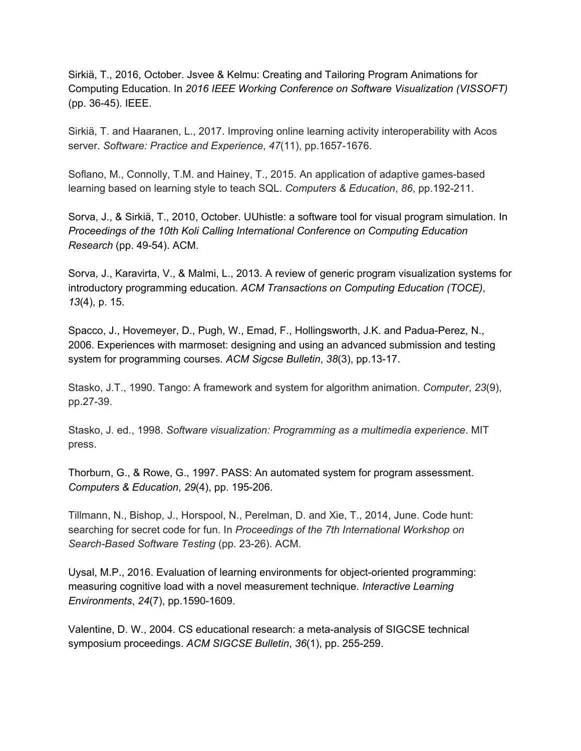Sirkiä, T., 2016, October. Jsvee & Kelmu: Creating and Tailoring Program Animations for Computing Education. In *2016 IEEE Working Conference on Software Visualization (VISSOFT)* (pp. 36-45). IEEE.

Sirkiä, T. and Haaranen, L., 2017. Improving online learning activity interoperability with Acos server. *Software: Practice and Experience*, *47*(11), pp.1657-1676.

Soflano, M., Connolly, T.M. and Hainey, T., 2015. An application of adaptive games-based learning based on learning style to teach SQL. *Computers & Education*, *86*, pp.192-211.

Sorva, J., & Sirkiä, T., 2010, October. UUhistle: a software tool for visual program simulation. In *Proceedings of the 10th Koli Calling International Conference on Computing Education Research* (pp. 49-54). ACM.

Sorva, J., Karavirta, V., & Malmi, L., 2013. A review of generic program visualization systems for introductory programming education. *ACM Transactions on Computing Education (TOCE)*, *13*(4), p. 15.

Spacco, J., Hovemeyer, D., Pugh, W., Emad, F., Hollingsworth, J.K. and Padua-Perez, N., 2006. Experiences with marmoset: designing and using an advanced submission and testing system for programming courses. *ACM Sigcse Bulletin*, *38*(3), pp.13-17.

Stasko, J.T., 1990. Tango: A framework and system for algorithm animation. *Computer*, *23*(9), pp.27-39.

Stasko, J. ed., 1998. *Software visualization: Programming as a multimedia experience*. MIT press.

Thorburn, G., & Rowe, G., 1997. PASS: An automated system for program assessment. *Computers & Education*, *29*(4), pp. 195-206.

Tillmann, N., Bishop, J., Horspool, N., Perelman, D. and Xie, T., 2014, June. Code hunt: searching for secret code for fun. In *Proceedings of the 7th International Workshop on Search-Based Software Testing* (pp. 23-26). ACM.

Uysal, M.P., 2016. Evaluation of learning environments for object-oriented programming: measuring cognitive load with a novel measurement technique. *Interactive Learning Environments*, *24*(7), pp.1590-1609.

Valentine, D. W., 2004. CS educational research: a meta-analysis of SIGCSE technical symposium proceedings. *ACM SIGCSE Bulletin*, *36*(1), pp. 255-259.